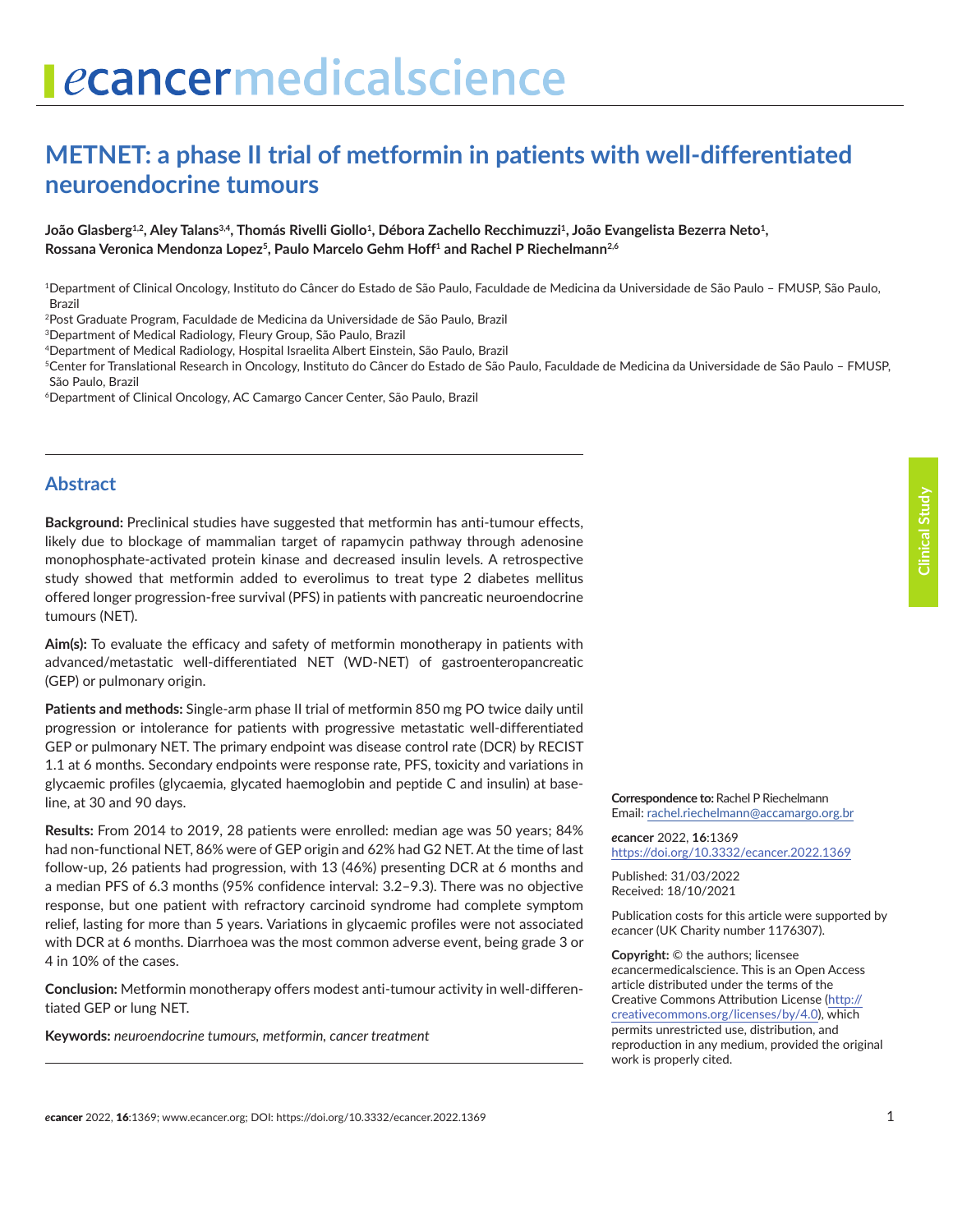# ecancermedicalscience

# **METNET: a phase II trial of metformin in patients with well-differentiated neuroendocrine tumours**

João Glasberg<sup>1,2</sup>, Aley Talans<sup>3,4</sup>, Thomás Rivelli Giollo<sup>1</sup>, Débora Zachello Recchimuzzi<sup>1</sup>, João Evangelista Bezerra Neto<sup>1</sup>, Rossana Veronica Mendonza Lopez<sup>5</sup>, Paulo Marcelo Gehm Hoff<sup>1</sup> and Rachel P Riechelmann<sup>2,6</sup>

1Department of Clinical Oncology, Instituto do Câncer do Estado de São Paulo, Faculdade de Medicina da Universidade de São Paulo – FMUSP, São Paulo, Brazil

2Post Graduate Program, Faculdade de Medicina da Universidade de São Paulo, Brazil

3Department of Medical Radiology, Fleury Group, São Paulo, Brazil

5Center for Translational Research in Oncology, Instituto do Câncer do Estado de São Paulo, Faculdade de Medicina da Universidade de São Paulo – FMUSP, São Paulo, Brazil

6Department of Clinical Oncology, AC Camargo Cancer Center, São Paulo, Brazil

#### **Abstract**

**Background:** Preclinical studies have suggested that metformin has anti-tumour effects, likely due to blockage of mammalian target of rapamycin pathway through adenosine monophosphate-activated protein kinase and decreased insulin levels. A retrospective study showed that metformin added to everolimus to treat type 2 diabetes mellitus offered longer progression-free survival (PFS) in patients with pancreatic neuroendocrine tumours (NET).

**Aim(s):** To evaluate the efficacy and safety of metformin monotherapy in patients with advanced/metastatic well-differentiated NET (WD-NET) of gastroenteropancreatic (GEP) or pulmonary origin.

**Patients and methods:** Single-arm phase II trial of metformin 850 mg PO twice daily until progression or intolerance for patients with progressive metastatic well-differentiated GEP or pulmonary NET. The primary endpoint was disease control rate (DCR) by RECIST 1.1 at 6 months. Secondary endpoints were response rate, PFS, toxicity and variations in glycaemic profiles (glycaemia, glycated haemoglobin and peptide C and insulin) at baseline, at 30 and 90 days.

**Results:** From 2014 to 2019, 28 patients were enrolled: median age was 50 years; 84% had non-functional NET, 86% were of GEP origin and 62% had G2 NET. At the time of last follow-up, 26 patients had progression, with 13 (46%) presenting DCR at 6 months and a median PFS of 6.3 months (95% confidence interval: 3.2–9.3). There was no objective response, but one patient with refractory carcinoid syndrome had complete symptom relief, lasting for more than 5 years. Variations in glycaemic profiles were not associated with DCR at 6 months. Diarrhoea was the most common adverse event, being grade 3 or 4 in 10% of the cases.

**Conclusion:** Metformin monotherapy offers modest anti-tumour activity in well-differentiated GEP or lung NET.

**Keywords:** *neuroendocrine tumours, metformin, cancer treatment*

**Correspondence to:** Rachel P Riechelmann Email: [rachel.riechelmann@accamargo.org.br](mailto:rachel.riechelmann@accamargo.org.br)

*e***cancer** 2022, **16**:1369 [https://doi.org/10.3332/ecancer.2022.136](https://doi.org/10.3332/ecancer.2022.1369)9

Published: 31/03/2022 Received: 18/10/2021

Publication costs for this article were supported by *e*cancer (UK Charity number 1176307).

**Copyright:** © the authors; licensee *e*cancermedicalscience. This is an Open Access article distributed under the terms of the Creative Commons Attribution License (http:// creativecommons.org/licenses/by/4.0), which permits unrestricted use, distribution, and reproduction in any medium, provided the original work is properly cited.

<sup>4</sup>Department of Medical Radiology, Hospital Israelita Albert Einstein, São Paulo, Brazil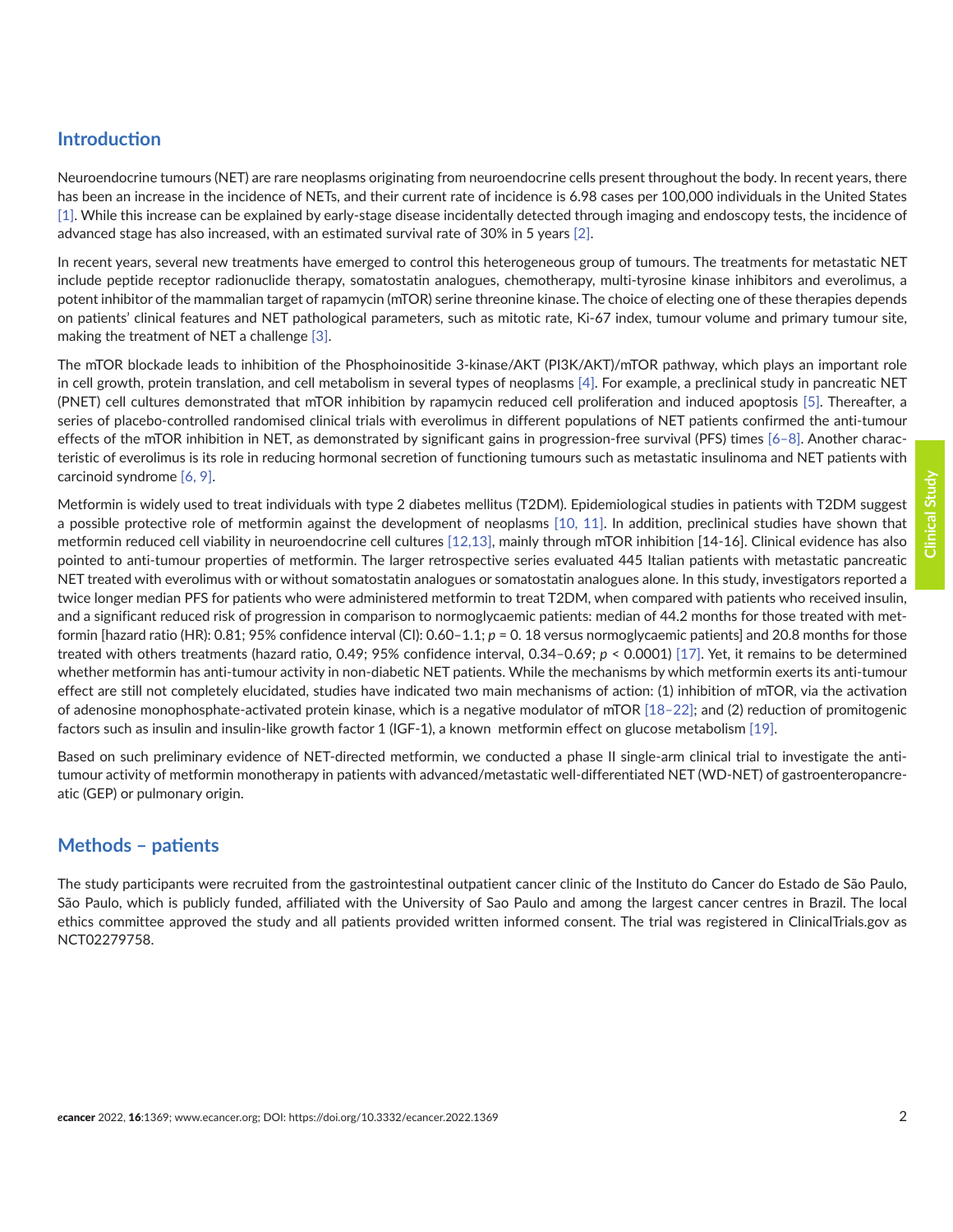# **Introduction**

Neuroendocrine tumours (NET) are rare neoplasms originating from neuroendocrine cells present throughout the body. In recent years, there has been an increase in the incidence of NETs, and their current rate of incidence is 6.98 cases per 100,000 individuals in the United States [\[1\].](#page-11-0) While this increase can be explained by early-stage disease incidentally detected through imaging and endoscopy tests, the incidence of advanced stage has also increased, with an estimated survival rate of 30% in 5 years [\[2\]](#page-11-0).

In recent years, several new treatments have emerged to control this heterogeneous group of tumours. The treatments for metastatic NET include peptide receptor radionuclide therapy, somatostatin analogues, chemotherapy, multi-tyrosine kinase inhibitors and everolimus, a potent inhibitor of the mammalian target of rapamycin (mTOR) serine threonine kinase. The choice of electing one of these therapies depends on patients' clinical features and NET pathological parameters, such as mitotic rate, Ki-67 index, tumour volume and primary tumour site, making the treatment of NET a challenge [\[3\].](#page-11-0)

The mTOR blockade leads to inhibition of the Phosphoinositide 3-kinase/AKT (PI3K/AKT)/mTOR pathway, which plays an important role in cell growth, protein translation, and cell metabolism in several types of neoplasms [\[4\]](#page-11-0). For example, a preclinical study in pancreatic NET (PNET) cell cultures demonstrated that mTOR inhibition by rapamycin reduced cell proliferation and induced apoptosis [\[5\].](#page-11-0) Thereafter, a series of placebo-controlled randomised clinical trials with everolimus in different populations of NET patients confirmed the anti-tumour effects of the mTOR inhibition in NET, as demonstrated by significant gains in progression-free survival (PFS) times [\[6–8\].](#page-11-0) Another characteristic of everolimus is its role in reducing hormonal secretion of functioning tumours such as metastatic insulinoma and NET patients with carcinoid syndrome [\[6, 9\]](#page-11-0).

Metformin is widely used to treat individuals with type 2 diabetes mellitus (T2DM). Epidemiological studies in patients with T2DM suggest a possible protective role of metformin against the development of neoplasms [\[10, 11\].](#page-12-0) In addition, preclinical studies have shown that metformin reduced cell viability in neuroendocrine cell cultures [\[12,13\]](#page-12-0), mainly through mTOR inhibition [14-16]. Clinical evidence has also pointed to anti-tumour properties of metformin. The larger retrospective series evaluated 445 Italian patients with metastatic pancreatic NET treated with everolimus with or without somatostatin analogues or somatostatin analogues alone. In this study, investigators reported a twice longer median PFS for patients who were administered metformin to treat T2DM, when compared with patients who received insulin, and a significant reduced risk of progression in comparison to normoglycaemic patients: median of 44.2 months for those treated with metformin [hazard ratio (HR): 0.81; 95% confidence interval (CI): 0.60–1.1; *p* = 0. 18 versus normoglycaemic patients] and 20.8 months for those treated with others treatments (hazard ratio, 0.49; 95% confidence interval, 0.34–0.69; *p* < 0.0001) [\[17\]](#page-12-0). Yet, it remains to be determined whether metformin has anti-tumour activity in non-diabetic NET patients. While the mechanisms by which metformin exerts its anti-tumour effect are still not completely elucidated, studies have indicated two main mechanisms of action: (1) inhibition of mTOR, via the activation of adenosine monophosphate-activated protein kinase, which is a negative modulator of mTOR [\[18–22\];](#page-12-0) and (2) reduction of promitogenic factors such as insulin and insulin-like growth factor 1 (IGF-1), a known metformin effect on glucose metabolism [\[19\].](#page-12-0)

Based on such preliminary evidence of NET-directed metformin, we conducted a phase II single-arm clinical trial to investigate the antitumour activity of metformin monotherapy in patients with advanced/metastatic well-differentiated NET (WD-NET) of gastroenteropancreatic (GEP) or pulmonary origin.

# **Methods – patients**

The study participants were recruited from the gastrointestinal outpatient cancer clinic of the Instituto do Cancer do Estado de São Paulo, São Paulo, which is publicly funded, affiliated with the University of Sao Paulo and among the largest cancer centres in Brazil. The local ethics committee approved the study and all patients provided written informed consent. The trial was registered in ClinicalTrials.gov as NCT02279758.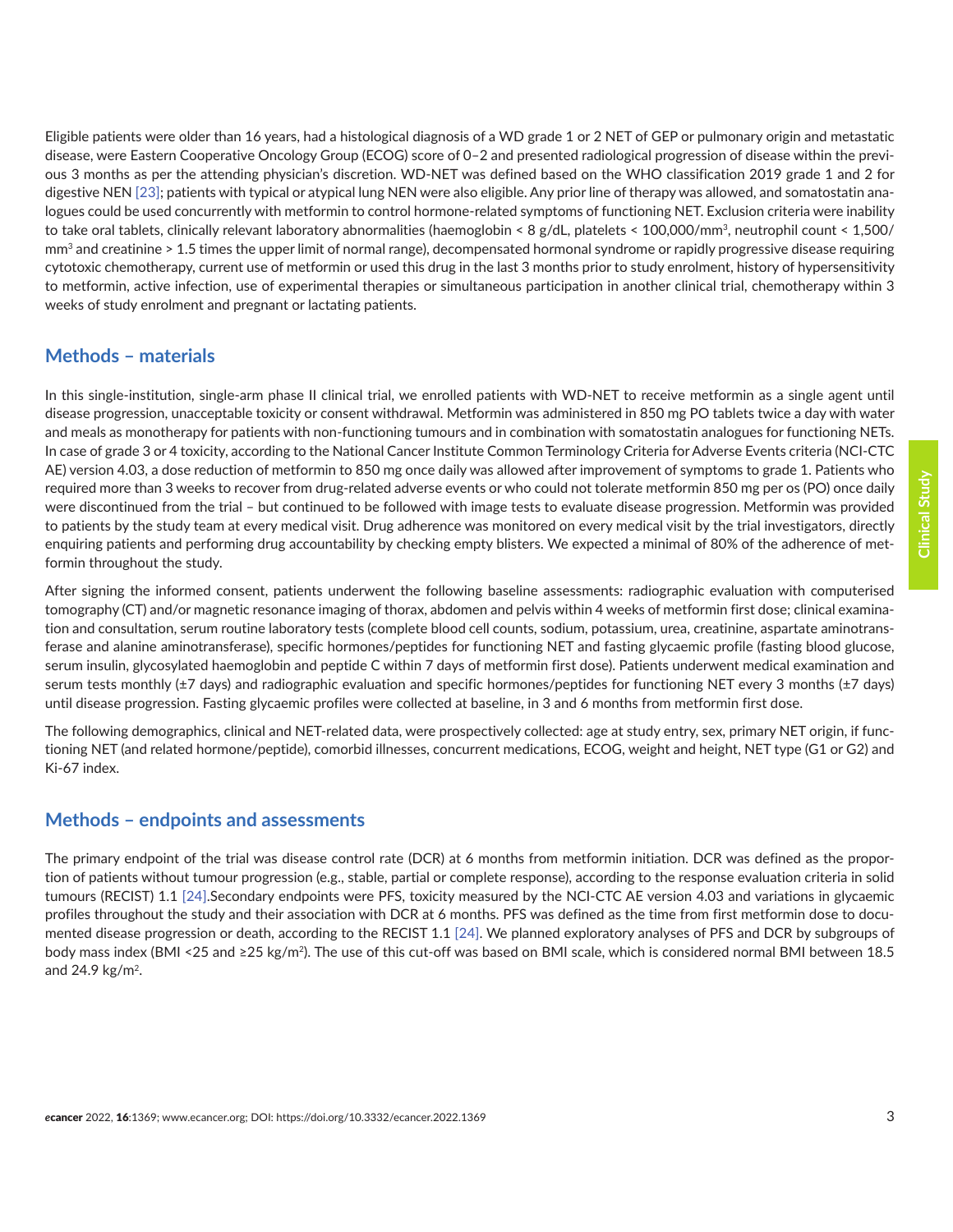Eligible patients were older than 16 years, had a histological diagnosis of a WD grade 1 or 2 NET of GEP or pulmonary origin and metastatic disease, were Eastern Cooperative Oncology Group (ECOG) score of 0–2 and presented radiological progression of disease within the previous 3 months as per the attending physician's discretion. WD-NET was defined based on the WHO classification 2019 grade 1 and 2 for digestive NEN [\[23\];](#page-12-0) patients with typical or atypical lung NEN were also eligible. Any prior line of therapy was allowed, and somatostatin analogues could be used concurrently with metformin to control hormone-related symptoms of functioning NET. Exclusion criteria were inability to take oral tablets, clinically relevant laboratory abnormalities (haemoglobin < 8 g/dL, platelets < 100,000/mm<sup>3</sup>, neutrophil count < 1,500/  $\text{mm}^3$  and creatinine  $> 1.5$  times the upper limit of normal range), decompensated hormonal syndrome or rapidly progressive disease requiring cytotoxic chemotherapy, current use of metformin or used this drug in the last 3 months prior to study enrolment, history of hypersensitivity to metformin, active infection, use of experimental therapies or simultaneous participation in another clinical trial, chemotherapy within 3 weeks of study enrolment and pregnant or lactating patients.

#### **Methods – materials**

In this single-institution, single-arm phase II clinical trial, we enrolled patients with WD-NET to receive metformin as a single agent until disease progression, unacceptable toxicity or consent withdrawal. Metformin was administered in 850 mg PO tablets twice a day with water and meals as monotherapy for patients with non-functioning tumours and in combination with somatostatin analogues for functioning NETs. In case of grade 3 or 4 toxicity, according to the National Cancer Institute Common Terminology Criteria for Adverse Events criteria (NCI-CTC AE) version 4.03, a dose reduction of metformin to 850 mg once daily was allowed after improvement of symptoms to grade 1. Patients who required more than 3 weeks to recover from drug-related adverse events or who could not tolerate metformin 850 mg per os (PO) once daily were discontinued from the trial – but continued to be followed with image tests to evaluate disease progression. Metformin was provided to patients by the study team at every medical visit. Drug adherence was monitored on every medical visit by the trial investigators, directly enquiring patients and performing drug accountability by checking empty blisters. We expected a minimal of 80% of the adherence of metformin throughout the study.

After signing the informed consent, patients underwent the following baseline assessments: radiographic evaluation with computerised tomography (CT) and/or magnetic resonance imaging of thorax, abdomen and pelvis within 4 weeks of metformin first dose; clinical examination and consultation, serum routine laboratory tests (complete blood cell counts, sodium, potassium, urea, creatinine, aspartate aminotransferase and alanine aminotransferase), specific hormones/peptides for functioning NET and fasting glycaemic profile (fasting blood glucose, serum insulin, glycosylated haemoglobin and peptide C within 7 days of metformin first dose). Patients underwent medical examination and serum tests monthly (±7 days) and radiographic evaluation and specific hormones/peptides for functioning NET every 3 months (±7 days) until disease progression. Fasting glycaemic profiles were collected at baseline, in 3 and 6 months from metformin first dose.

The following demographics, clinical and NET-related data, were prospectively collected: age at study entry, sex, primary NET origin, if functioning NET (and related hormone/peptide), comorbid illnesses, concurrent medications, ECOG, weight and height, NET type (G1 or G2) and Ki-67 index.

## **Methods – endpoints and assessments**

The primary endpoint of the trial was disease control rate (DCR) at 6 months from metformin initiation. DCR was defined as the proportion of patients without tumour progression (e.g., stable, partial or complete response), according to the response evaluation criteria in solid tumours (RECIST) 1.1 [\[24\].](#page-12-0)Secondary endpoints were PFS, toxicity measured by the NCI-CTC AE version 4.03 and variations in glycaemic profiles throughout the study and their association with DCR at 6 months. PFS was defined as the time from first metformin dose to documented disease progression or death, according to the RECIST 1.1 [\[24\]](#page-12-0). We planned exploratory analyses of PFS and DCR by subgroups of body mass index (BMI <25 and ≥25 kg/m2). The use of this cut-off was based on BMI scale, which is considered normal BMI between 18.5 and 24.9 kg/m2.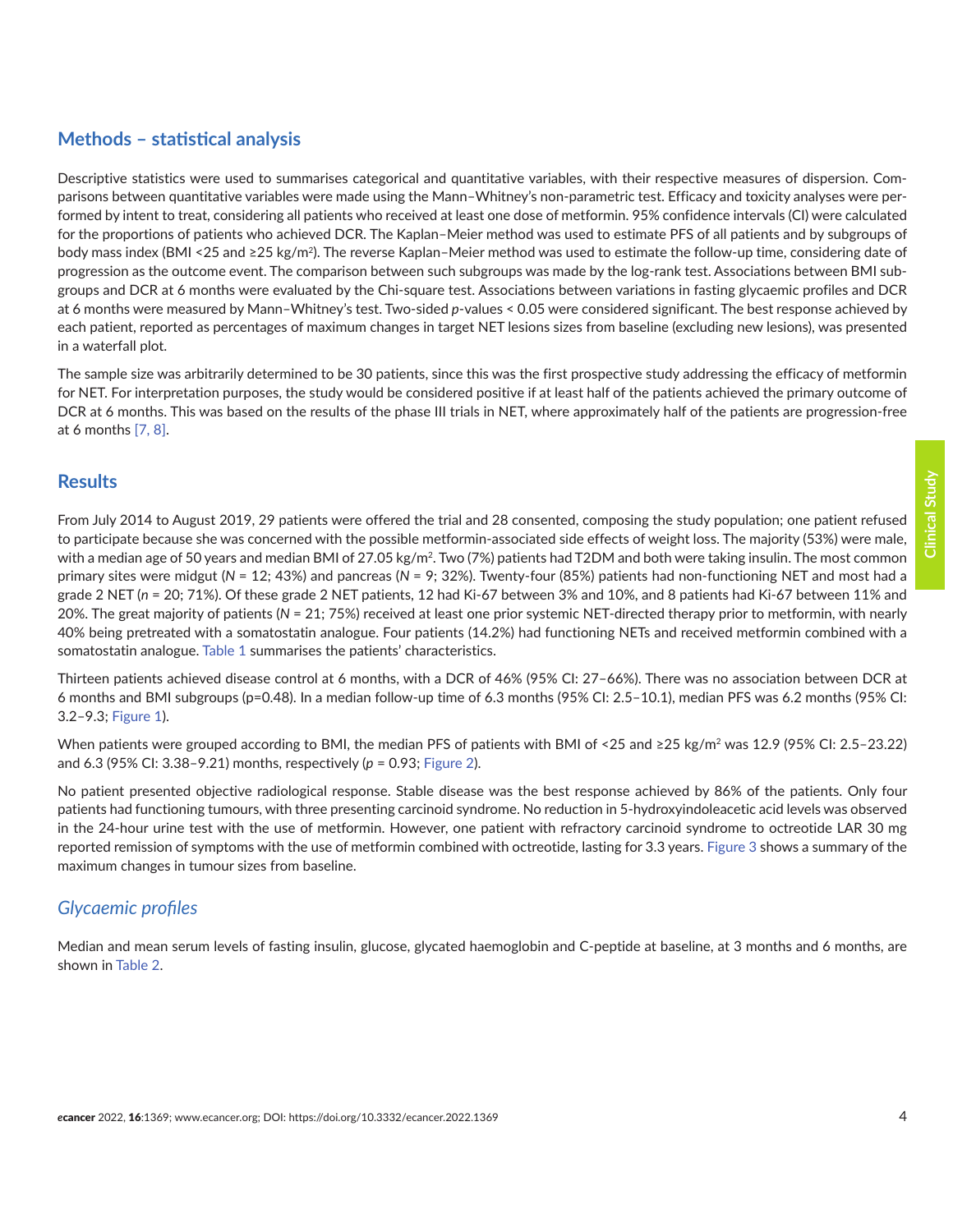# **Methods – statistical analysis**

Descriptive statistics were used to summarises categorical and quantitative variables, with their respective measures of dispersion. Comparisons between quantitative variables were made using the Mann–Whitney's non-parametric test. Efficacy and toxicity analyses were performed by intent to treat, considering all patients who received at least one dose of metformin. 95% confidence intervals (CI) were calculated for the proportions of patients who achieved DCR. The Kaplan–Meier method was used to estimate PFS of all patients and by subgroups of body mass index (BMI <25 and ≥25 kg/m<sup>2</sup>). The reverse Kaplan–Meier method was used to estimate the follow-up time, considering date of progression as the outcome event. The comparison between such subgroups was made by the log-rank test. Associations between BMI subgroups and DCR at 6 months were evaluated by the Chi-square test. Associations between variations in fasting glycaemic profiles and DCR at 6 months were measured by Mann–Whitney's test. Two-sided *p*-values < 0.05 were considered significant. The best response achieved by each patient, reported as percentages of maximum changes in target NET lesions sizes from baseline (excluding new lesions), was presented in a waterfall plot.

The sample size was arbitrarily determined to be 30 patients, since this was the first prospective study addressing the efficacy of metformin for NET. For interpretation purposes, the study would be considered positive if at least half of the patients achieved the primary outcome of DCR at 6 months. This was based on the results of the phase III trials in NET, where approximately half of the patients are progression-free at 6 months [\[7,](#page-11-0) [8\].](#page-11-0)

#### **Results**

From July 2014 to August 2019, 29 patients were offered the trial and 28 consented, composing the study population; one patient refused to participate because she was concerned with the possible metformin-associated side effects of weight loss. The majority (53%) were male, with a median age of 50 years and median BMI of 27.05 kg/m<sup>2</sup>. Two (7%) patients had T2DM and both were taking insulin. The most common primary sites were midgut (*N* = 12; 43%) and pancreas (*N* = 9; 32%). Twenty-four (85%) patients had non-functioning NET and most had a grade 2 NET (*n* = 20; 71%). Of these grade 2 NET patients, 12 had Ki-67 between 3% and 10%, and 8 patients had Ki-67 between 11% and 20%. The great majority of patients (*N* = 21; 75%) received at least one prior systemic NET-directed therapy prior to metformin, with nearly 40% being pretreated with a somatostatin analogue. Four patients (14.2%) had functioning NETs and received metformin combined with a somatostatin analogue. [Table 1](#page-4-0) summarises the patients' characteristics.

Thirteen patients achieved disease control at 6 months, with a DCR of 46% (95% CI: 27–66%). There was no association between DCR at 6 months and BMI subgroups (p=0.48). In a median follow-up time of 6.3 months (95% CI: 2.5–10.1), median PFS was 6.2 months (95% CI: 3.2–9.3; [Figure 1](#page-5-0)).

When patients were grouped according to BMI, the median PFS of patients with BMI of <25 and ≥25 kg/m<sup>2</sup> was 12.9 (95% CI: 2.5-23.22) and 6.3 (95% CI: 3.38–9.21) months, respectively (*p* = 0.93; [Figure 2\)](#page-6-0).

No patient presented objective radiological response. Stable disease was the best response achieved by 86% of the patients. Only four patients had functioning tumours, with three presenting carcinoid syndrome. No reduction in 5-hydroxyindoleacetic acid levels was observed in the 24-hour urine test with the use of metformin. However, one patient with refractory carcinoid syndrome to octreotide LAR 30 mg reported remission of symptoms with the use of metformin combined with octreotide, lasting for 3.3 years. [Figure 3](#page-7-0) shows a summary of the maximum changes in tumour sizes from baseline.

# *Glycaemic profiles*

Median and mean serum levels of fasting insulin, glucose, glycated haemoglobin and C-peptide at baseline, at 3 months and 6 months, are shown in [Table 2.](#page-7-0)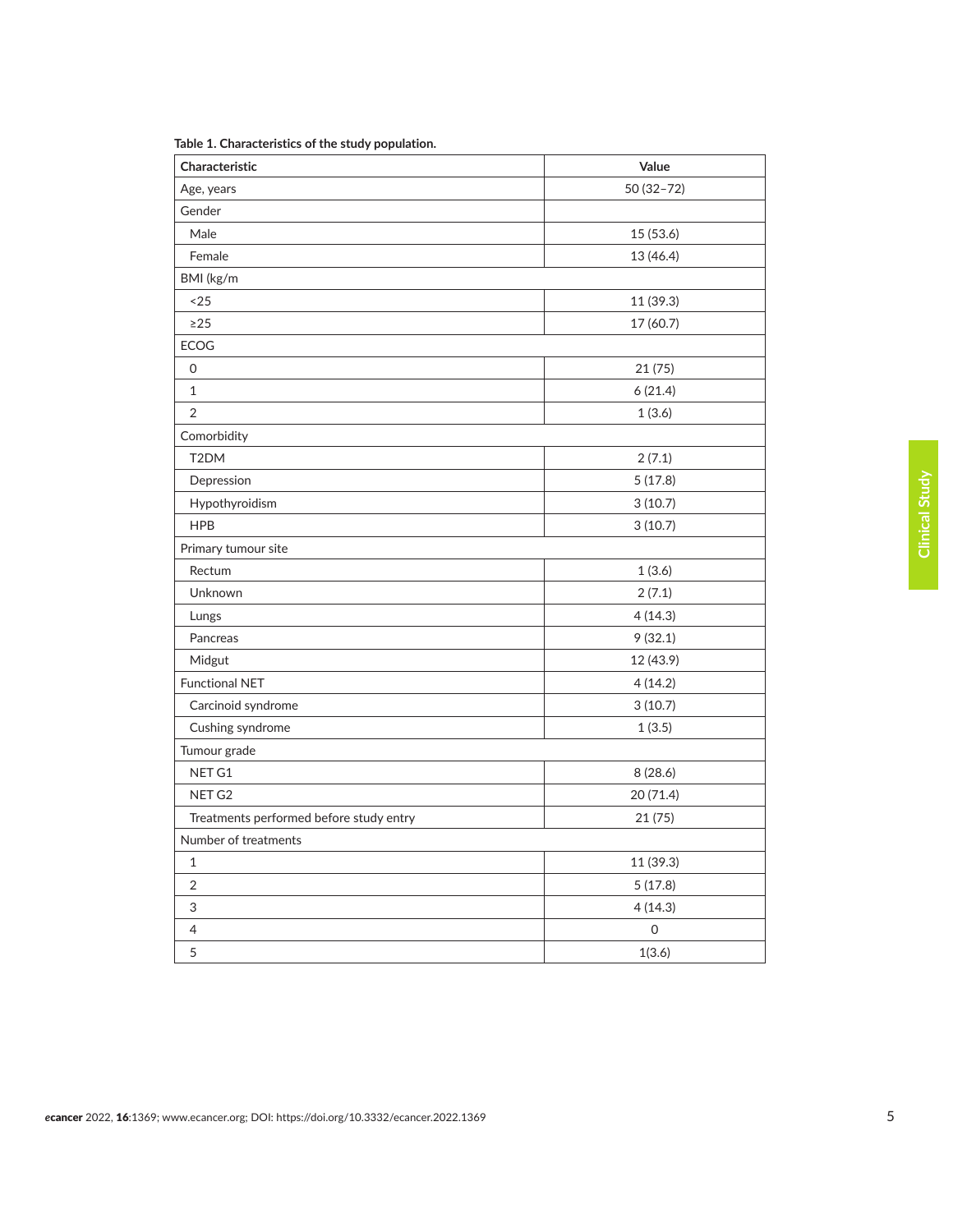| Characteristic                          | Value               |  |
|-----------------------------------------|---------------------|--|
| Age, years                              | 50 (32-72)          |  |
| Gender                                  |                     |  |
| Male                                    | 15 (53.6)           |  |
| Female                                  | 13 (46.4)           |  |
| BMI (kg/m                               |                     |  |
| $25$                                    | 11 (39.3)           |  |
| $\geq$ 25                               | 17 (60.7)           |  |
| <b>ECOG</b>                             |                     |  |
| $\mathsf{O}\xspace$                     | 21 (75)             |  |
| $\mathbf{1}$                            | 6(21.4)             |  |
| $\overline{2}$                          | 1(3.6)              |  |
| Comorbidity                             |                     |  |
| T2DM                                    | 2(7.1)              |  |
| Depression                              | 5(17.8)             |  |
| Hypothyroidism                          | 3(10.7)             |  |
| <b>HPB</b>                              | 3(10.7)             |  |
| Primary tumour site                     |                     |  |
| Rectum                                  | 1(3.6)              |  |
| Unknown                                 | 2(7.1)              |  |
| Lungs                                   | 4(14.3)             |  |
| Pancreas                                | 9(32.1)             |  |
| Midgut                                  | 12 (43.9)           |  |
| <b>Functional NET</b>                   | 4(14.2)             |  |
| Carcinoid syndrome                      | 3(10.7)             |  |
| Cushing syndrome                        | 1(3.5)              |  |
| Tumour grade                            |                     |  |
| NET G1                                  | 8 (28.6)            |  |
| NET <sub>G2</sub>                       | 20 (71.4)           |  |
| Treatments performed before study entry | 21 (75)             |  |
| Number of treatments                    |                     |  |
| $\mathbf 1$                             | 11 (39.3)           |  |
| $\sqrt{2}$                              | 5(17.8)             |  |
| 3                                       | 4(14.3)             |  |
| $\overline{4}$                          | $\mathsf{O}\xspace$ |  |
| 5                                       | 1(3.6)              |  |

<span id="page-4-0"></span>**Table 1. Characteristics of the study population.**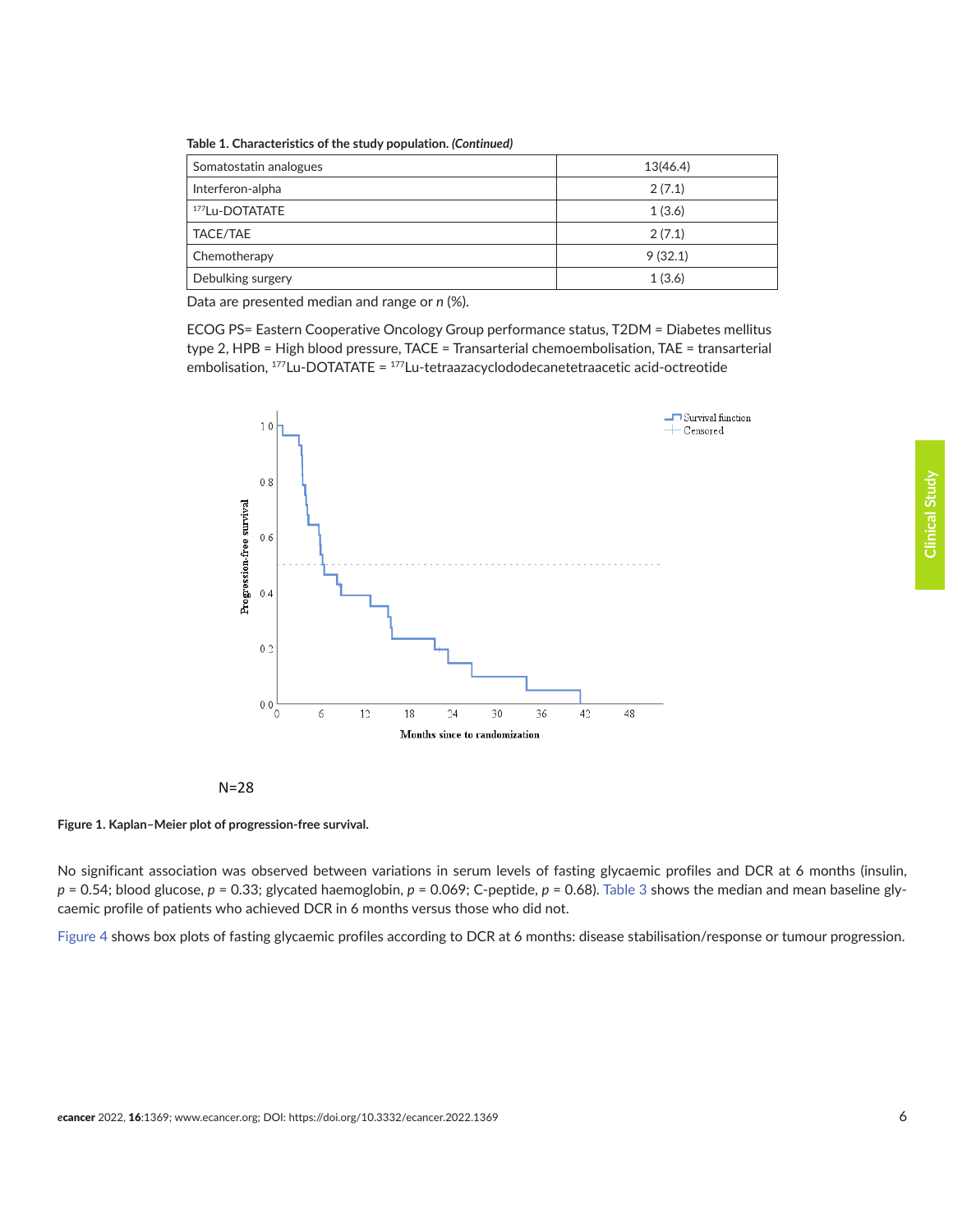<span id="page-5-0"></span>**Table 1. Characteristics of the study population.** *(Continued)*

| Somatostatin analogues | 13(46.4) |
|------------------------|----------|
| Interferon-alpha       | 2(7.1)   |
| 177Lu-DOTATATE         | 1(3.6)   |
| TACE/TAE               | 2(7.1)   |
| Chemotherapy           | 9(32.1)  |
| Debulking surgery      | 1(3.6)   |

Data are presented median and range or *n* (%).

**ECOG PS= Eastern Cooperative Oncology Group performance status, T2DM = Diabetes mellitus** type 2, HPB = High blood pressure, TACE = Transarterial chemoembolisation, TAE = transarterial embolisation,  $177$ Lu-DOTATATE =  $177$ Lu-tetraazacyclododecanetetraacetic acid-octreotide







No significant association was observed between variations in serum levels of fasting glycaemic profiles and DCR at 6 months (insulin,  $p = 0.54$ ; blood glucose,  $p = 0.33$ ; glycated haemoglobin,  $p = 0.069$ ; C-peptide,  $p = 0.68$ ). [Table 3](#page-8-0) shows the median and mean baseline glycaemic profile of patients who achieved DCR in 6 months versus those who did not.

[Figure 4](#page-8-0) shows box plots of fasting glycaemic profiles according to DCR at 6 months: disease stabilisation/response or tumour progression.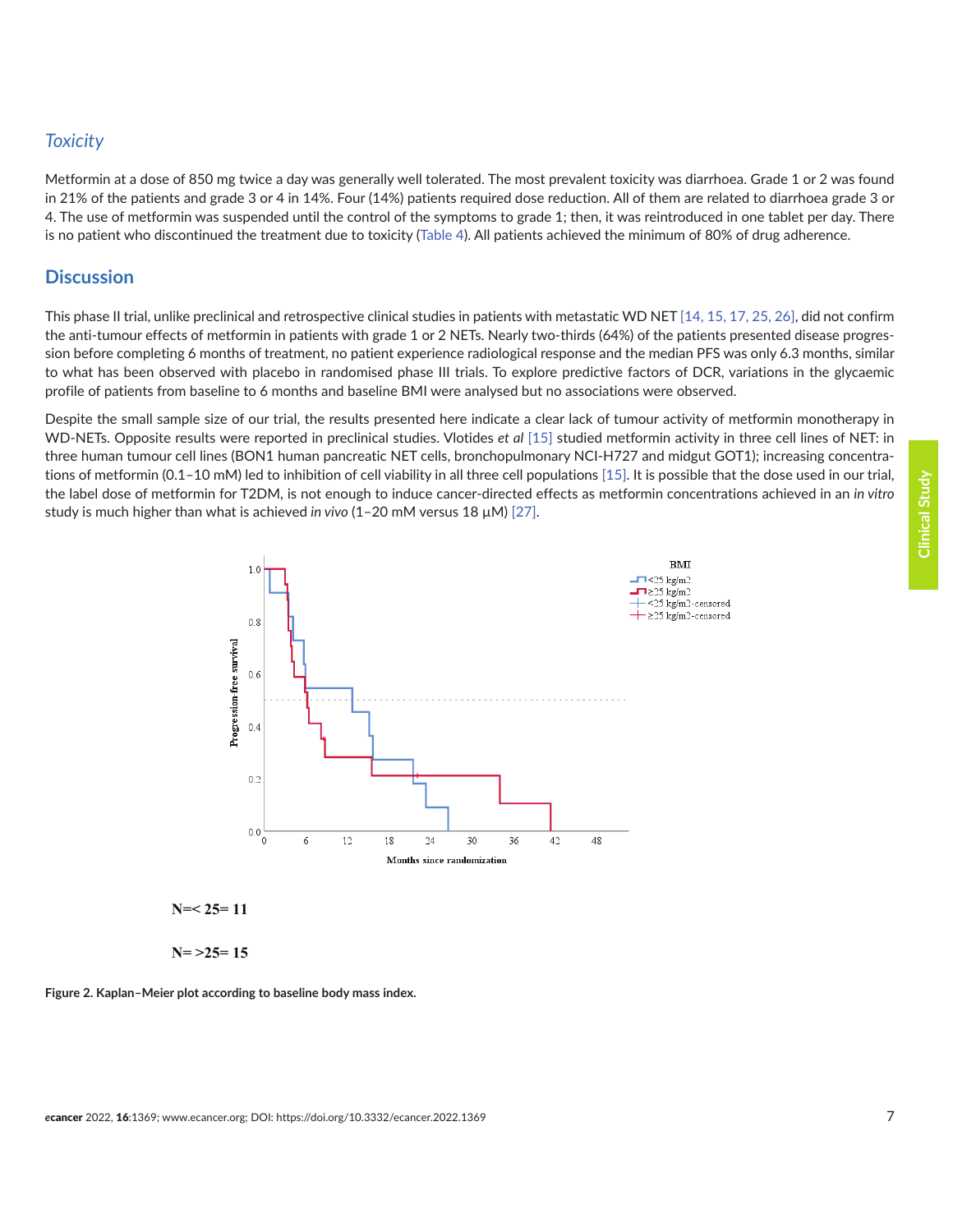## <span id="page-6-0"></span>*Toxicity*

Metformin at a dose of 850 mg twice a day was generally well tolerated. The most prevalent toxicity was diarrhoea. Grade 1 or 2 was found in 21% of the patients and grade 3 or 4 in 14%. Four (14%) patients required dose reduction. All of them are related to diarrhoea grade 3 or 4. The use of metformin was suspended until the control of the symptoms to grade 1; then, it was reintroduced in one tablet per day. There is no patient who discontinued the treatment due to toxicity [\(Table 4](#page-9-0)). All patients achieved the minimum of 80% of drug adherence.

## **Discussion**

This phase II trial, unlike preclinical and retrospective clinical studies in patients with metastatic WD NET [\[14, 15, 17, 25, 26\],](#page-12-0) did not confirm the anti-tumour effects of metformin in patients with grade 1 or 2 NETs. Nearly two-thirds (64%) of the patients presented disease progression before completing 6 months of treatment, no patient experience radiological response and the median PFS was only 6.3 months, similar to what has been observed with placebo in randomised phase III trials. To explore predictive factors of DCR, variations in the glycaemic profile of patients from baseline to 6 months and baseline BMI were analysed but no associations were observed.

Despite the small sample size of our trial, the results presented here indicate a clear lack of tumour activity of metformin monotherapy in WD-NETs. Opposite results were reported in preclinical studies. Vlotides *et al* [\[15\]](#page-12-0) studied metformin activity in three cell lines of NET: in three human tumour cell lines (BON1 human pancreatic NET cells, bronchopulmonary NCI-H727 and midgut GOT1); increasing concentrations of metformin (0.1–10 mM) led to inhibition of cell viability in all three cell populations [\[15\].](#page-12-0) It is possible that the dose used in our trial, the label dose of metformin for T2DM, is not enough to induce cancer-directed effects as metformin concentrations achieved in an *in vitro* N=28 study is much higher than what is achieved *in vivo* (1–20 mM versus 18 μM) [\[27\].](#page-12-0)





**N= >25= 15**

**Figure 2. Kaplan–Meier plot according to baseline body mass index.**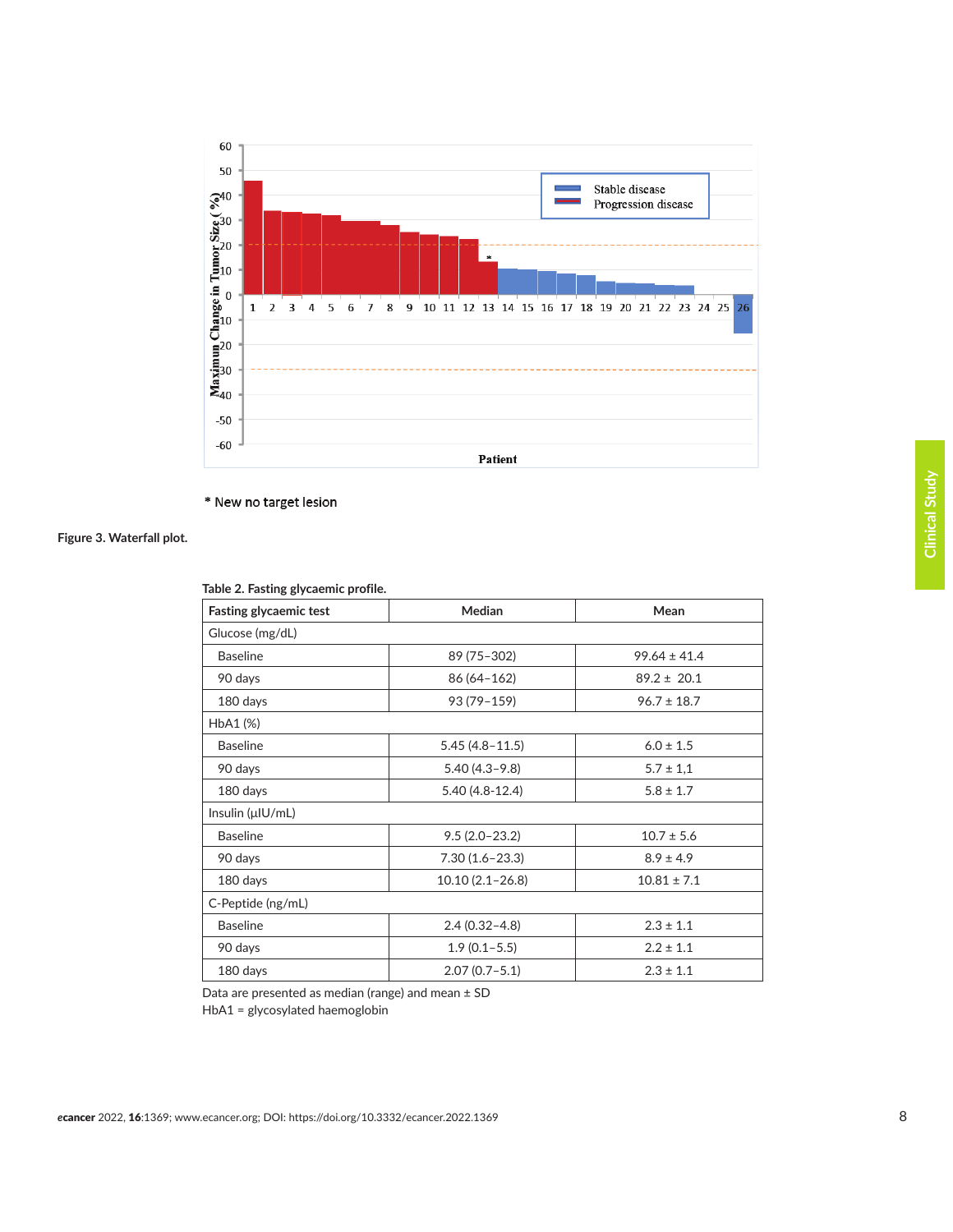<span id="page-7-0"></span>

\* New no target lesion

#### **Figure 3. Waterfall plot.**

| $\frac{1}{2}$ as and $\frac{1}{2}$ , $\frac{1}{2}$ , $\frac{1}{2}$ , $\frac{1}{2}$ , $\frac{1}{2}$ , $\frac{1}{2}$ |                     |                  |  |
|--------------------------------------------------------------------------------------------------------------------|---------------------|------------------|--|
| Fasting glycaemic test                                                                                             | <b>Median</b>       | Mean             |  |
| Glucose (mg/dL)                                                                                                    |                     |                  |  |
| <b>Baseline</b>                                                                                                    | 89 (75-302)         | $99.64 \pm 41.4$ |  |
| 90 days                                                                                                            | 86 (64 - 162)       | $89.2 \pm 20.1$  |  |
| 180 days                                                                                                           | 93 (79-159)         | $96.7 \pm 18.7$  |  |
| HbA1 (%)                                                                                                           |                     |                  |  |
| <b>Baseline</b>                                                                                                    | $5.45(4.8 - 11.5)$  | $6.0 \pm 1.5$    |  |
| 90 days                                                                                                            | $5.40(4.3 - 9.8)$   | $5.7 \pm 1.1$    |  |
| 180 days                                                                                                           | $5.40(4.8-12.4)$    | $5.8 \pm 1.7$    |  |
| Insulin (µIU/mL)                                                                                                   |                     |                  |  |
| <b>Baseline</b>                                                                                                    | $9.5(2.0-23.2)$     | $10.7 \pm 5.6$   |  |
| 90 days                                                                                                            | $7.30(1.6 - 23.3)$  | $8.9 \pm 4.9$    |  |
| 180 days                                                                                                           | $10.10(2.1 - 26.8)$ | $10.81 \pm 7.1$  |  |
| C-Peptide (ng/mL)                                                                                                  |                     |                  |  |
| <b>Baseline</b>                                                                                                    | $2.4(0.32 - 4.8)$   | $2.3 \pm 1.1$    |  |
| 90 days                                                                                                            | $1.9(0.1-5.5)$      | $2.2 \pm 1.1$    |  |
| 180 days                                                                                                           | $2.07(0.7-5.1)$     | $2.3 \pm 1.1$    |  |

**Table 2. Fasting glycaemic profile.**

Data are presented as median (range) and mean ± SD

HbA1 = glycosylated haemoglobin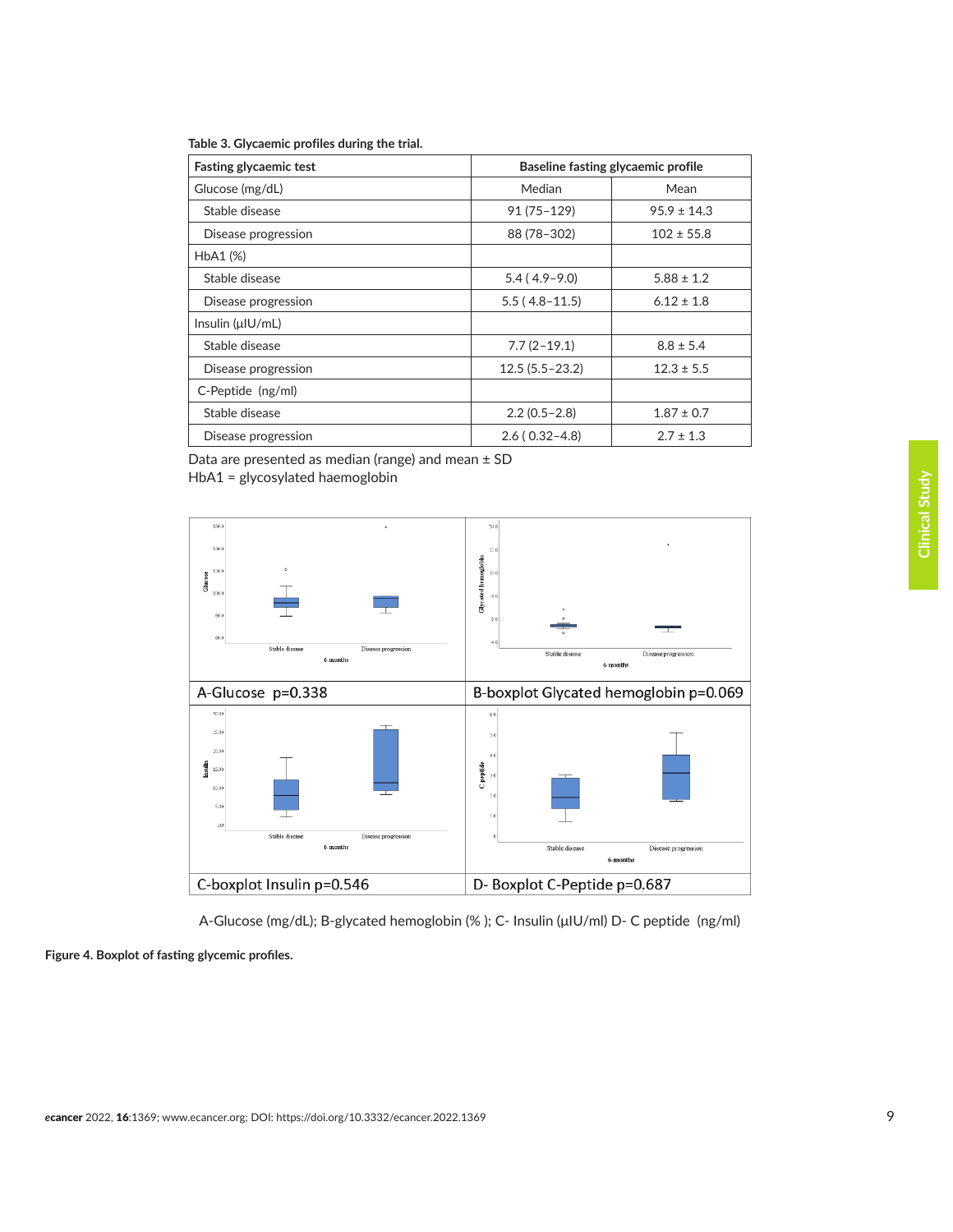<span id="page-8-0"></span>

|  | Table 3. Glycaemic profiles during the trial. |  |  |  |  |
|--|-----------------------------------------------|--|--|--|--|
|--|-----------------------------------------------|--|--|--|--|

| <b>Fasting glycaemic test</b> | Baseline fasting glycaemic profile |                 |  |
|-------------------------------|------------------------------------|-----------------|--|
| Glucose (mg/dL)               | Median                             | Mean            |  |
| Stable disease                | $91(75 - 129)$                     | $95.9 \pm 14.3$ |  |
| Disease progression           | 88 (78-302)                        | $102 \pm 55.8$  |  |
| HbA1 (%)                      |                                    |                 |  |
| Stable disease                | $5.4(4.9-9.0)$                     | $5.88 \pm 1.2$  |  |
| Disease progression           | $5.5(4.8-11.5)$                    | $6.12 \pm 1.8$  |  |
| Insulin (µIU/mL)              |                                    |                 |  |
| Stable disease                | $7.7(2-19.1)$                      | $8.8 \pm 5.4$   |  |
| Disease progression           | $12.5(5.5 - 23.2)$                 | $12.3 \pm 5.5$  |  |
| C-Peptide (ng/ml)             |                                    |                 |  |
| Stable disease                | $2.2(0.5-2.8)$                     | $1.87 \pm 0.7$  |  |
| Disease progression           | $2.6(0.32 - 4.8)$                  | $2.7 \pm 1.3$   |  |

Data are presented as median (range) and mean ± SD HbA1 = glycosylated haemoglobin



A-Glucose (mg/dL); B-glycated hemoglobin (% ); C- Insulin (μIU/ml) D- C peptide (ng/ml)

**Figure 4. Boxplot of fasting glycemic profiles.**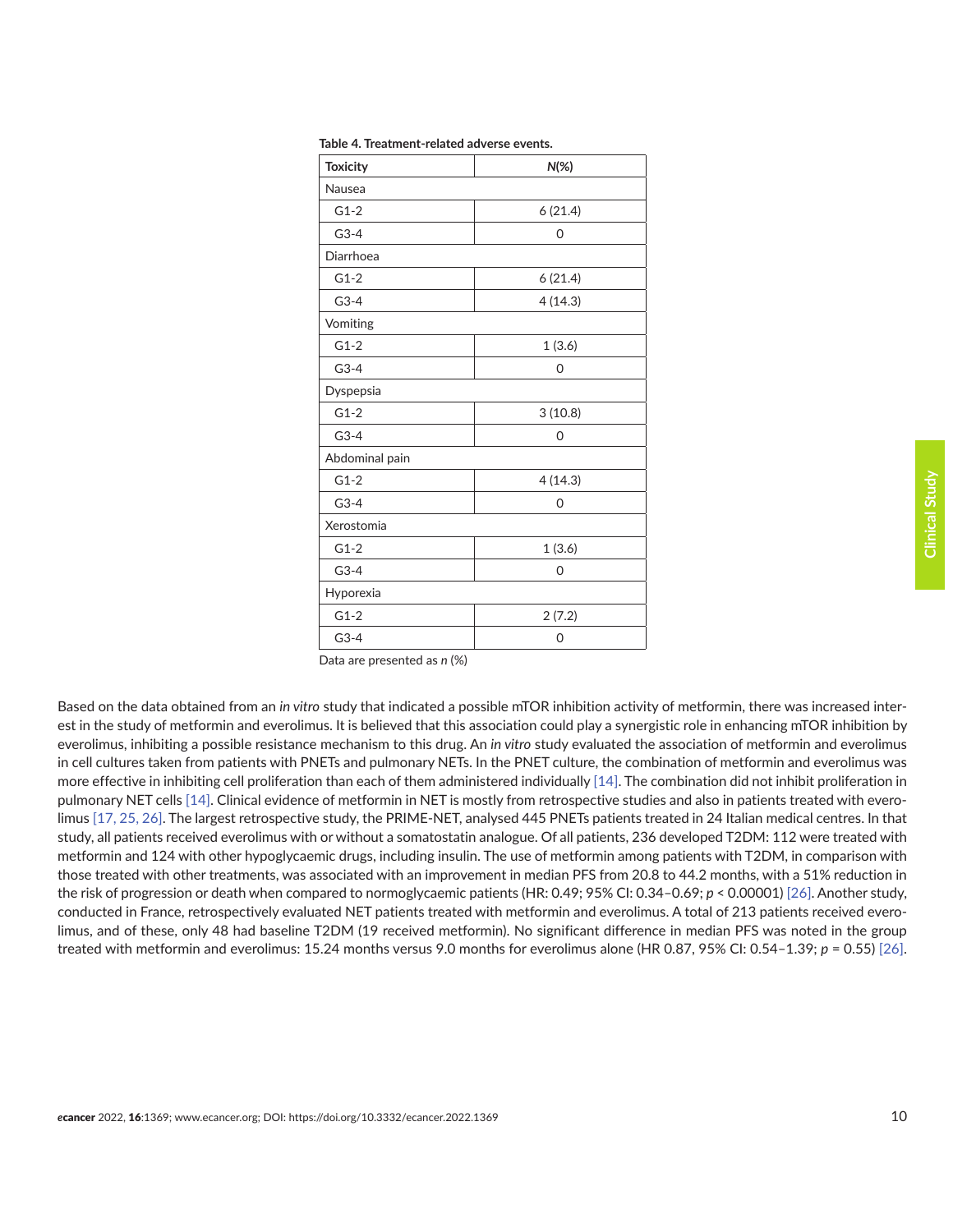| ï<br><b>Contract Contract Contract Contract Contract Contract Contract Contract Contract Contract Contract Contract C</b>            |
|--------------------------------------------------------------------------------------------------------------------------------------|
| ï<br>I<br>i<br>I<br>i                                                                                                                |
| ֬֕<br>ï<br>t<br><b>Contract Contract Contract Contract Contract Contract Contract Contract Contract Contract Contract Contract C</b> |
| ĺ                                                                                                                                    |
| l<br>I<br>l                                                                                                                          |
| l<br>l<br>ï<br>I<br>I<br>i                                                                                                           |
| I<br>I<br>j<br>i<br>l<br>ı                                                                                                           |
| l<br>l<br>I                                                                                                                          |
|                                                                                                                                      |

<span id="page-9-0"></span>

| <b>Toxicity</b> | $N(\%)$  |
|-----------------|----------|
| Nausea          |          |
| $G1-2$          | 6(21.4)  |
| $G3-4$          | 0        |
| Diarrhoea       |          |
| $G1-2$          | 6(21.4)  |
| $G3-4$          | 4(14.3)  |
| Vomiting        |          |
| $G1-2$          | 1(3.6)   |
| $G3-4$          | 0        |
| Dyspepsia       |          |
| $G1-2$          | 3(10.8)  |
| $G3-4$          | 0        |
| Abdominal pain  |          |
| $G1-2$          | 4(14.3)  |
| $G3-4$          | $\Omega$ |
| Xerostomia      |          |
| $G1-2$          | 1(3.6)   |
| $G3-4$          | $\Omega$ |
| Hyporexia       |          |
| $G1-2$          | 2(7.2)   |
| $G3-4$          | 0        |

|  | Table 4. Treatment-related adverse events. |  |
|--|--------------------------------------------|--|
|--|--------------------------------------------|--|

Data are presented as *n* (%)

Based on the data obtained from an *in vitro* study that indicated a possible mTOR inhibition activity of metformin, there was increased interest in the study of metformin and everolimus. It is believed that this association could play a synergistic role in enhancing mTOR inhibition by everolimus, inhibiting a possible resistance mechanism to this drug. An *in vitro* study evaluated the association of metformin and everolimus in cell cultures taken from patients with PNETs and pulmonary NETs. In the PNET culture, the combination of metformin and everolimus was more effective in inhibiting cell proliferation than each of them administered individually [\[14\]](#page-12-0). The combination did not inhibit proliferation in pulmonary NET cells [\[14\]](#page-12-0). Clinical evidence of metformin in NET is mostly from retrospective studies and also in patients treated with everolimus [\[17, 25, 26\]](#page-12-0). The largest retrospective study, the PRIME-NET, analysed 445 PNETs patients treated in 24 Italian medical centres. In that study, all patients received everolimus with or without a somatostatin analogue. Of all patients, 236 developed T2DM: 112 were treated with metformin and 124 with other hypoglycaemic drugs, including insulin. The use of metformin among patients with T2DM, in comparison with those treated with other treatments, was associated with an improvement in median PFS from 20.8 to 44.2 months, with a 51% reduction in the risk of progression or death when compared to normoglycaemic patients (HR: 0.49; 95% CI: 0.34–0.69; *p* < 0.00001) [\[26\].](#page-12-0) Another study, conducted in France, retrospectively evaluated NET patients treated with metformin and everolimus. A total of 213 patients received everolimus, and of these, only 48 had baseline T2DM (19 received metformin). No significant difference in median PFS was noted in the group treated with metformin and everolimus: 15.24 months versus 9.0 months for everolimus alone (HR 0.87, 95% CI: 0.54–1.39; *p* = 0.55) [\[26\].](#page-12-0)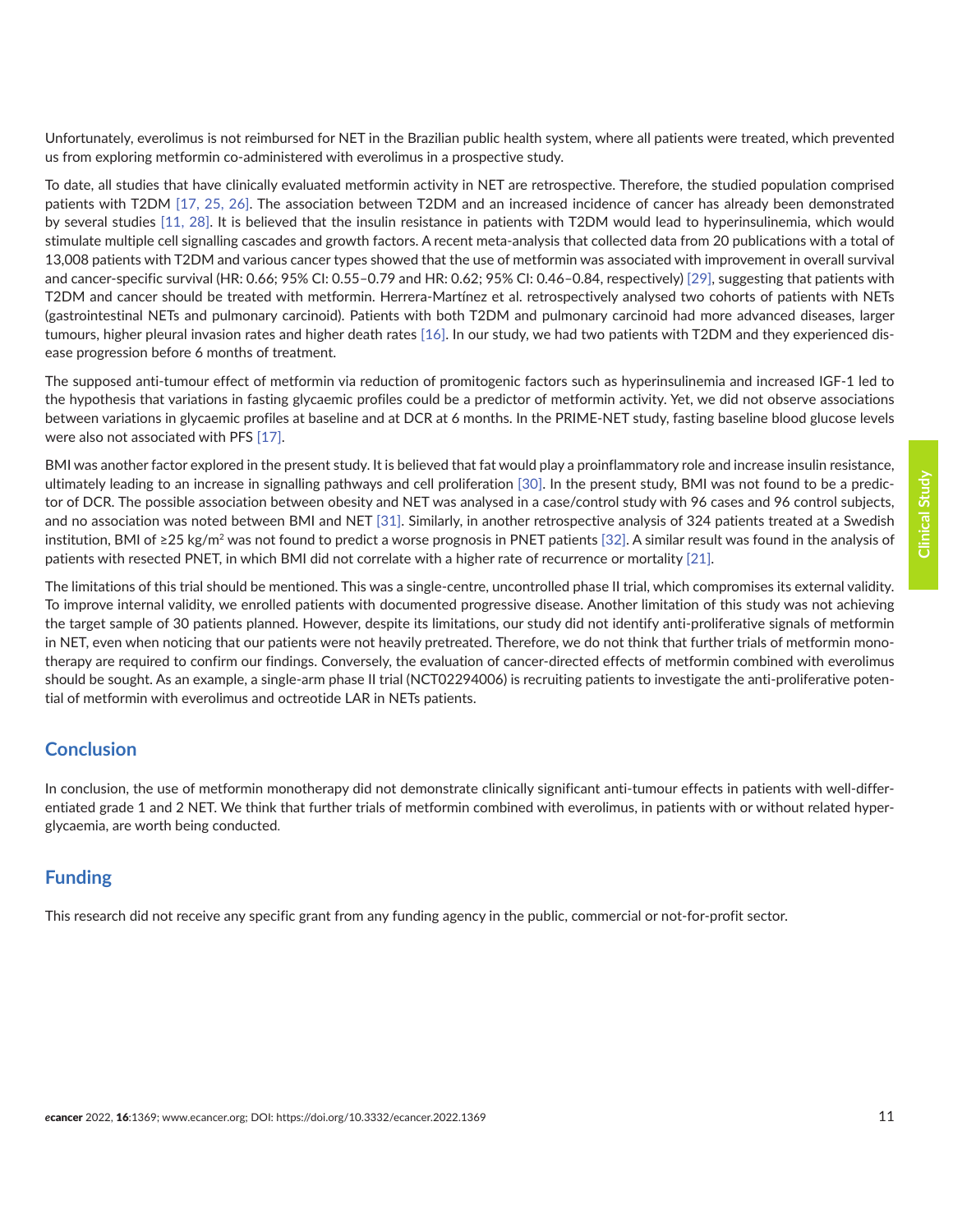Unfortunately, everolimus is not reimbursed for NET in the Brazilian public health system, where all patients were treated, which prevented us from exploring metformin co-administered with everolimus in a prospective study.

To date, all studies that have clinically evaluated metformin activity in NET are retrospective. Therefore, the studied population comprised patients with T2DM [\[17,](#page-12-0) [25, 26\]](#page-12-0). The association between T2DM and an increased incidence of cancer has already been demonstrated by several studies [\[11,](#page-12-0) [28\].](#page-13-0) It is believed that the insulin resistance in patients with T2DM would lead to hyperinsulinemia, which would stimulate multiple cell signalling cascades and growth factors. A recent meta-analysis that collected data from 20 publications with a total of 13,008 patients with T2DM and various cancer types showed that the use of metformin was associated with improvement in overall survival and cancer-specific survival (HR: 0.66; 95% CI: 0.55–0.79 and HR: 0.62; 95% CI: 0.46–0.84, respectively) [\[29\]](#page-13-0), suggesting that patients with T2DM and cancer should be treated with metformin. Herrera-Martínez et al. retrospectively analysed two cohorts of patients with NETs (gastrointestinal NETs and pulmonary carcinoid). Patients with both T2DM and pulmonary carcinoid had more advanced diseases, larger tumours, higher pleural invasion rates and higher death rates [\[16\]](#page-12-0). In our study, we had two patients with T2DM and they experienced disease progression before 6 months of treatment.

The supposed anti-tumour effect of metformin via reduction of promitogenic factors such as hyperinsulinemia and increased IGF-1 led to the hypothesis that variations in fasting glycaemic profiles could be a predictor of metformin activity. Yet, we did not observe associations between variations in glycaemic profiles at baseline and at DCR at 6 months. In the PRIME-NET study, fasting baseline blood glucose levels were also not associated with PFS [\[17\].](#page-12-0)

BMI was another factor explored in the present study. It is believed that fat would play a proinflammatory role and increase insulin resistance, ultimately leading to an increase in signalling pathways and cell proliferation [\[30\].](#page-13-0) In the present study, BMI was not found to be a predictor of DCR. The possible association between obesity and NET was analysed in a case/control study with 96 cases and 96 control subjects, and no association was noted between BMI and NET [\[31\].](#page-13-0) Similarly, in another retrospective analysis of 324 patients treated at a Swedish institution, BMI of ≥25 kg/m<sup>2</sup> was not found to predict a worse prognosis in PNET patients [\[32\]](#page-13-0). A similar result was found in the analysis of patients with resected PNET, in which BMI did not correlate with a higher rate of recurrence or mortality [\[21\].](#page-12-0)

The limitations of this trial should be mentioned. This was a single-centre, uncontrolled phase II trial, which compromises its external validity. To improve internal validity, we enrolled patients with documented progressive disease. Another limitation of this study was not achieving the target sample of 30 patients planned. However, despite its limitations, our study did not identify anti-proliferative signals of metformin in NET, even when noticing that our patients were not heavily pretreated. Therefore, we do not think that further trials of metformin monotherapy are required to confirm our findings. Conversely, the evaluation of cancer-directed effects of metformin combined with everolimus should be sought. As an example, a single-arm phase II trial (NCT02294006) is recruiting patients to investigate the anti-proliferative potential of metformin with everolimus and octreotide LAR in NETs patients.

## **Conclusion**

In conclusion, the use of metformin monotherapy did not demonstrate clinically significant anti-tumour effects in patients with well-differentiated grade 1 and 2 NET. We think that further trials of metformin combined with everolimus, in patients with or without related hyperglycaemia, are worth being conducted.

# **Funding**

This research did not receive any specific grant from any funding agency in the public, commercial or not-for-profit sector.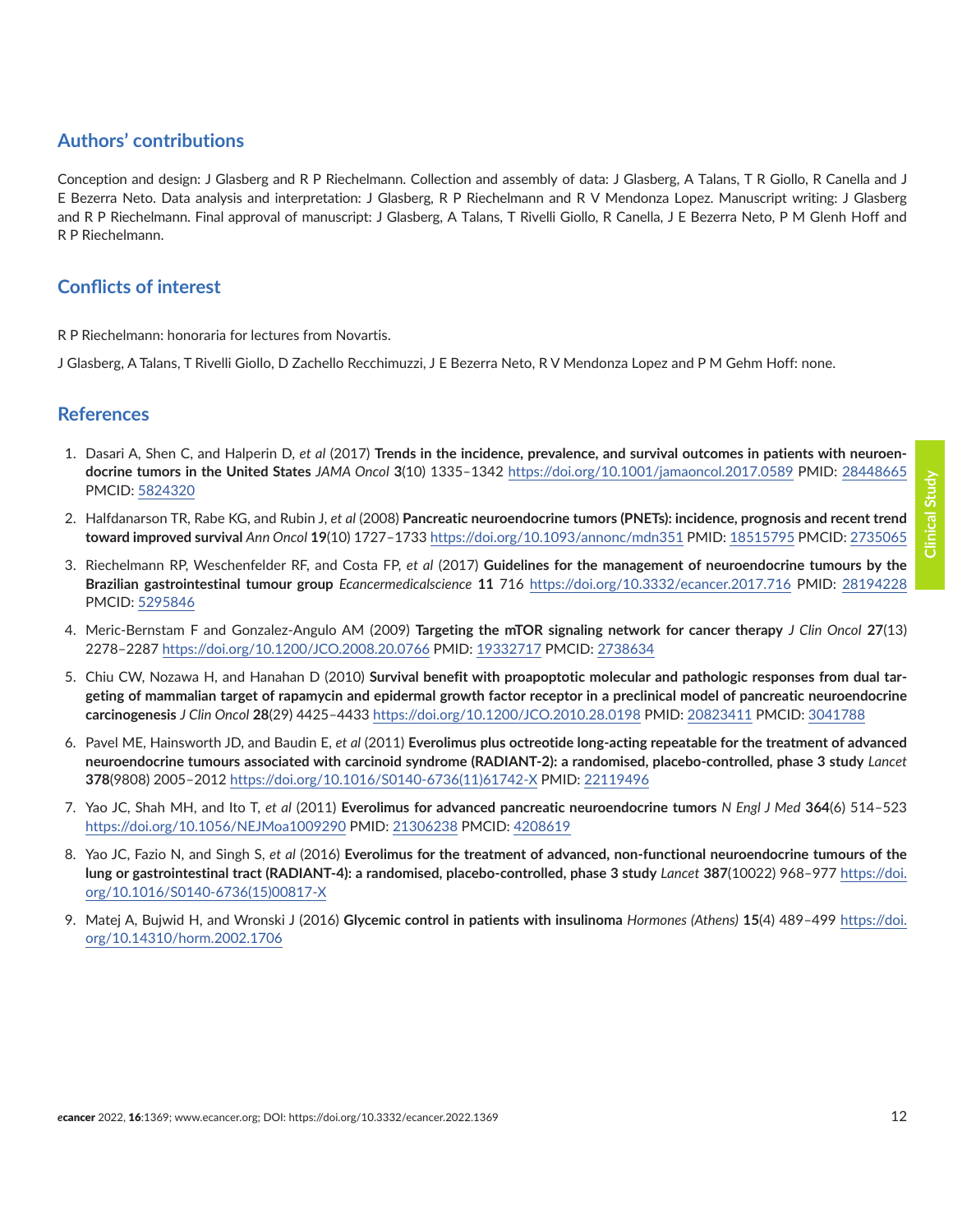# <span id="page-11-0"></span>**Authors' contributions**

Conception and design: J Glasberg and R P Riechelmann. Collection and assembly of data: J Glasberg, A Talans, T R Giollo, R Canella and J E Bezerra Neto. Data analysis and interpretation: J Glasberg, R P Riechelmann and R V Mendonza Lopez. Manuscript writing: J Glasberg and R P Riechelmann. Final approval of manuscript: J Glasberg, A Talans, T Rivelli Giollo, R Canella, J E Bezerra Neto, P M Glenh Hoff and R P Riechelmann.

# **Conflicts of interest**

R P Riechelmann: honoraria for lectures from Novartis.

J Glasberg, A Talans, T Rivelli Giollo, D Zachello Recchimuzzi, J E Bezerra Neto, R V Mendonza Lopez and P M Gehm Hoff: none.

#### **References**

- 1. Dasari A, Shen C, and Halperin D, *et al* (2017) **Trends in the incidence, prevalence, and survival outcomes in patients with neuroendocrine tumors in the United States** *JAMA Oncol* **3**(10) 1335–1342 <https://doi.org/10.1001/jamaoncol.2017.0589>PMID: [28448665](http://www.ncbi.nlm.nih.gov/pubmed/28448665) PMCID: [5824320](http://www.ncbi.nlm.nih.gov/pmc/articles/PMC5824320)
- 2. Halfdanarson TR, Rabe KG, and Rubin J, *et al* (2008) **Pancreatic neuroendocrine tumors (PNETs): incidence, prognosis and recent trend toward improved survival** *Ann Oncol* **19**(10) 1727–1733 <https://doi.org/10.1093/annonc/mdn351> PMID: [18515795](http://www.ncbi.nlm.nih.gov/pubmed/18515795) PMCID: [2735065](http://www.ncbi.nlm.nih.gov/pmc/articles/PMC2735065)
- 3. Riechelmann RP, Weschenfelder RF, and Costa FP, *et al* (2017) **Guidelines for the management of neuroendocrine tumours by the Brazilian gastrointestinal tumour group** *Ecancermedicalscience* **11** 716 <https://doi.org/10.3332/ecancer.2017.716>PMID: [28194228](http://www.ncbi.nlm.nih.gov/pubmed/28194228) PMCID: [5295846](http://www.ncbi.nlm.nih.gov/pmc/articles/PMC5295846)
- 4. Meric-Bernstam F and Gonzalez-Angulo AM (2009) **Targeting the mTOR signaling network for cancer therapy** *J Clin Oncol* **27**(13) 2278–2287<https://doi.org/10.1200/JCO.2008.20.0766> PMID: [19332717](http://www.ncbi.nlm.nih.gov/pubmed/19332717) PMCID: [2738634](http://www.ncbi.nlm.nih.gov/pmc/articles/PMC2738634)
- 5. Chiu CW, Nozawa H, and Hanahan D (2010) **Survival benefit with proapoptotic molecular and pathologic responses from dual targeting of mammalian target of rapamycin and epidermal growth factor receptor in a preclinical model of pancreatic neuroendocrine carcinogenesis** *J Clin Oncol* **28**(29) 4425–4433 <https://doi.org/10.1200/JCO.2010.28.0198>PMID: [20823411](http://www.ncbi.nlm.nih.gov/pubmed/20823411) PMCID: [3041788](http://www.ncbi.nlm.nih.gov/pmc/articles/PMC3041788)
- 6. Pavel ME, Hainsworth JD, and Baudin E, *et al* (2011) **Everolimus plus octreotide long-acting repeatable for the treatment of advanced neuroendocrine tumours associated with carcinoid syndrome (RADIANT-2): a randomised, placebo-controlled, phase 3 study** *Lancet* **378**(9808) 2005–2012 [https://doi.org/10.1016/S0140-6736\(11\)61742-X](https://doi.org/10.1016/S0140-6736(11)61742-X) PMID: [22119496](http://www.ncbi.nlm.nih.gov/pubmed/22119496)
- 7. Yao JC, Shah MH, and Ito T, *et al* (2011) **Everolimus for advanced pancreatic neuroendocrine tumors** *N Engl J Med* **364**(6) 514–523 <https://doi.org/10.1056/NEJMoa1009290> PMID: [21306238](http://www.ncbi.nlm.nih.gov/pubmed/21306238) PMCID: [4208619](http://www.ncbi.nlm.nih.gov/pmc/articles/PMC4208619)
- 8. Yao JC, Fazio N, and Singh S, *et al* (2016) **Everolimus for the treatment of advanced, non-functional neuroendocrine tumours of the lung or gastrointestinal tract (RADIANT-4): a randomised, placebo-controlled, phase 3 study** *Lancet* **387**(10022) 968–977 [https://doi.](https://doi.org/10.1016/S0140-6736(15)00817-X) [org/10.1016/S0140-6736\(15\)00817-X](https://doi.org/10.1016/S0140-6736(15)00817-X)
- 9. Matej A, Bujwid H, and Wronski J (2016) **Glycemic control in patients with insulinoma** *Hormones (Athens)* **15**(4) 489–499 [https://doi.](https://doi.org/10.14310/horm.2002.1706) [org/10.14310/horm.2002.1706](https://doi.org/10.14310/horm.2002.1706)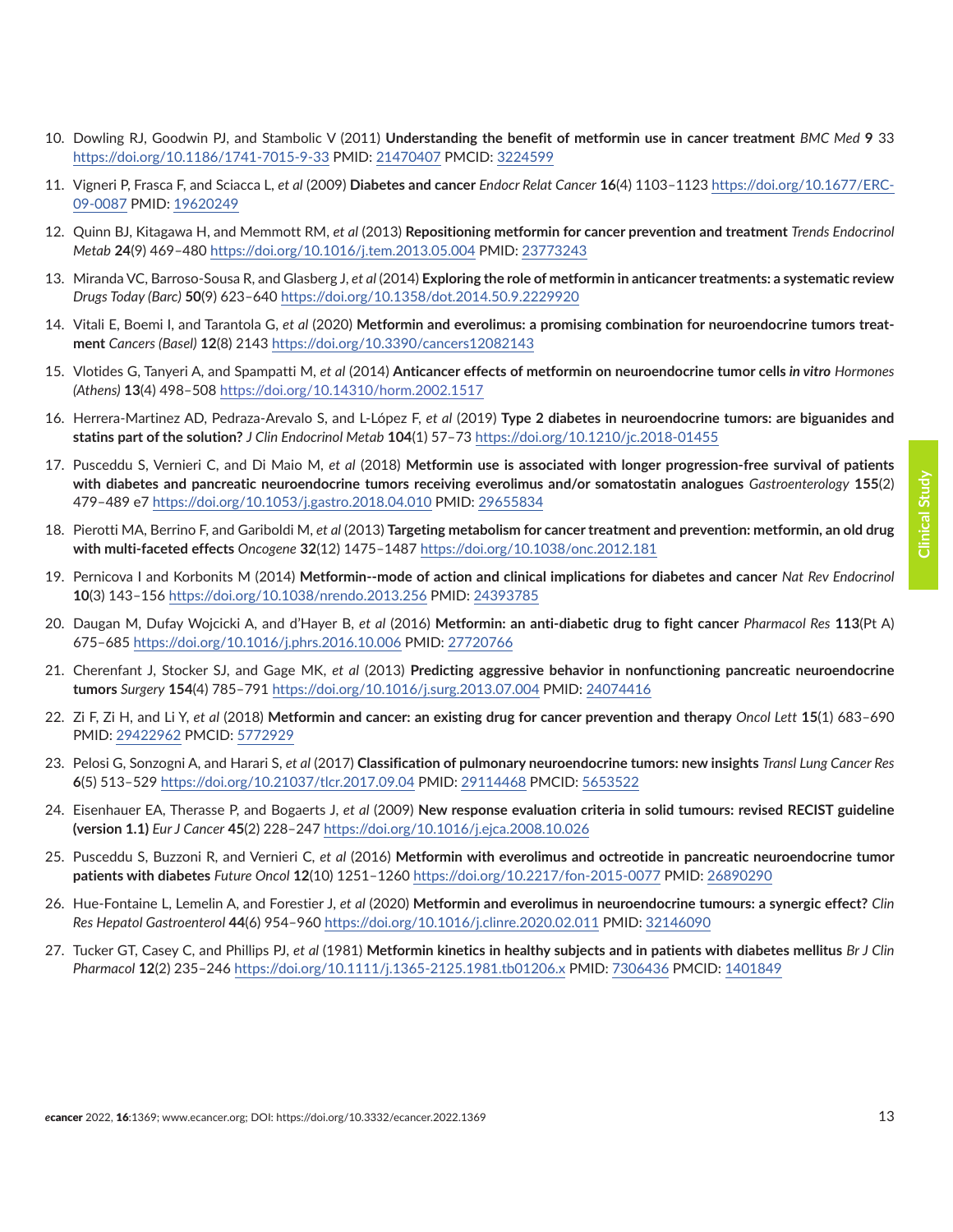- <span id="page-12-0"></span>10. Dowling RJ, Goodwin PJ, and Stambolic V (2011) **Understanding the benefit of metformin use in cancer treatment** *BMC Med* **9** 33 <https://doi.org/10.1186/1741-7015-9-33>PMID: [21470407](http://www.ncbi.nlm.nih.gov/pubmed/21470407) PMCID: [3224599](http://www.ncbi.nlm.nih.gov/pmc/articles/PMC3224599)
- 11. Vigneri P, Frasca F, and Sciacca L, *et al* (2009) **Diabetes and cancer** *Endocr Relat Cancer* **16**(4) 1103–1123 [https://doi.org/10.1677/ERC-](https://doi.org/10.1677/ERC-09-0087)[09-0087](https://doi.org/10.1677/ERC-09-0087) PMID: [19620249](http://www.ncbi.nlm.nih.gov/pubmed/19620249)
- 12. Quinn BJ, Kitagawa H, and Memmott RM, *et al* (2013) **Repositioning metformin for cancer prevention and treatment** *Trends Endocrinol Metab* **24**(9) 469–480<https://doi.org/10.1016/j.tem.2013.05.004>PMID: [23773243](http://www.ncbi.nlm.nih.gov/pubmed/23773243)
- 13. Miranda VC, Barroso-Sousa R, and Glasberg J, *et al* (2014) **Exploring the role of metformin in anticancer treatments: a systematic review** *Drugs Today (Barc)* **50**(9) 623–640 <https://doi.org/10.1358/dot.2014.50.9.2229920>
- 14. Vitali E, Boemi I, and Tarantola G, *et al* (2020) **Metformin and everolimus: a promising combination for neuroendocrine tumors treatment** *Cancers (Basel)* **12**(8) 2143 <https://doi.org/10.3390/cancers12082143>
- 15. Vlotides G, Tanyeri A, and Spampatti M, *et al* (2014) **Anticancer effects of metformin on neuroendocrine tumor cells** *in vitro Hormones (Athens)* **13**(4) 498–508<https://doi.org/10.14310/horm.2002.1517>
- 16. Herrera-Martinez AD, Pedraza-Arevalo S, and L-López F, *et al* (2019) **Type 2 diabetes in neuroendocrine tumors: are biguanides and statins part of the solution?** *J Clin Endocrinol Metab* **104**(1) 57–73 <https://doi.org/10.1210/jc.2018-01455>
- 17. Pusceddu S, Vernieri C, and Di Maio M, *et al* (2018) **Metformin use is associated with longer progression-free survival of patients with diabetes and pancreatic neuroendocrine tumors receiving everolimus and/or somatostatin analogues** *Gastroenterology* **155**(2) 479–489 e7<https://doi.org/10.1053/j.gastro.2018.04.010> PMID: [29655834](http://www.ncbi.nlm.nih.gov/pubmed/29655834)
- 18. Pierotti MA, Berrino F, and Gariboldi M, *et al* (2013) **Targeting metabolism for cancer treatment and prevention: metformin, an old drug with multi-faceted effects** *Oncogene* **32**(12) 1475–1487<https://doi.org/10.1038/onc.2012.181>
- 19. Pernicova I and Korbonits M (2014) **Metformin--mode of action and clinical implications for diabetes and cancer** *Nat Rev Endocrinol* **10**(3) 143–156 <https://doi.org/10.1038/nrendo.2013.256> PMID: [24393785](http://www.ncbi.nlm.nih.gov/pubmed/24393785)
- 20. Daugan M, Dufay Wojcicki A, and d'Hayer B, *et al* (2016) **Metformin: an anti-diabetic drug to fight cancer** *Pharmacol Res* **113**(Pt A) 675–685 <https://doi.org/10.1016/j.phrs.2016.10.006>PMID: [27720766](http://www.ncbi.nlm.nih.gov/pubmed/27720766)
- 21. Cherenfant J, Stocker SJ, and Gage MK, *et al* (2013) **Predicting aggressive behavior in nonfunctioning pancreatic neuroendocrine tumors** *Surgery* **154**(4) 785–791<https://doi.org/10.1016/j.surg.2013.07.004>PMID: [24074416](http://www.ncbi.nlm.nih.gov/pubmed/24074416)
- 22. Zi F, Zi H, and Li Y, *et al* (2018) **Metformin and cancer: an existing drug for cancer prevention and therapy** *Oncol Lett* **15**(1) 683–690 PMID: [29422962](http://www.ncbi.nlm.nih.gov/pubmed/29422962) PMCID: [5772929](http://www.ncbi.nlm.nih.gov/pmc/articles/PMC5772929)
- 23. Pelosi G, Sonzogni A, and Harari S, *et al* (2017) **Classification of pulmonary neuroendocrine tumors: new insights** *Transl Lung Cancer Res* **6**(5) 513–529<https://doi.org/10.21037/tlcr.2017.09.04> PMID: [29114468](http://www.ncbi.nlm.nih.gov/pubmed/29114468) PMCID: [5653522](http://www.ncbi.nlm.nih.gov/pmc/articles/PMC5653522)
- 24. Eisenhauer EA, Therasse P, and Bogaerts J, *et al* (2009) **New response evaluation criteria in solid tumours: revised RECIST guideline (version 1.1)** *Eur J Cancer* **45**(2) 228–247<https://doi.org/10.1016/j.ejca.2008.10.026>
- 25. Pusceddu S, Buzzoni R, and Vernieri C, *et al* (2016) **Metformin with everolimus and octreotide in pancreatic neuroendocrine tumor patients with diabetes** *Future Oncol* **12**(10) 1251–1260 <https://doi.org/10.2217/fon-2015-0077>PMID: [26890290](http://www.ncbi.nlm.nih.gov/pubmed/26890290)
- 26. Hue-Fontaine L, Lemelin A, and Forestier J, *et al* (2020) **Metformin and everolimus in neuroendocrine tumours: a synergic effect?** *Clin Res Hepatol Gastroenterol* **44**(6) 954–960 <https://doi.org/10.1016/j.clinre.2020.02.011> PMID: [32146090](http://www.ncbi.nlm.nih.gov/pubmed/32146090)
- 27. Tucker GT, Casey C, and Phillips PJ, *et al* (1981) **Metformin kinetics in healthy subjects and in patients with diabetes mellitus** *Br J Clin Pharmacol* **12**(2) 235–246 <https://doi.org/10.1111/j.1365-2125.1981.tb01206.x>PMID: [7306436](http://www.ncbi.nlm.nih.gov/pubmed/7306436) PMCID: [1401849](http://www.ncbi.nlm.nih.gov/pmc/articles/PMC1401849)